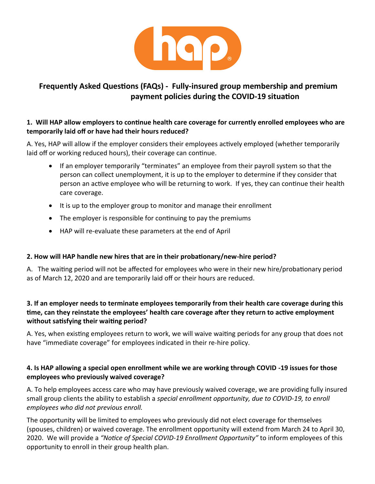

# **Frequently Asked Questions (FAQs) - Fully-insured group membership and premium payment policies during the COVID-19 situation**

## **1. Will HAP allow employers to continue health care coverage for currently enrolled employees who are temporarily laid off or have had their hours reduced?**

A. Yes, HAP will allow if the employer considers their employees actively employed (whether temporarily laid off or working reduced hours), their coverage can continue.

- If an employer temporarily "terminates" an employee from their payroll system so that the person can collect unemployment, it is up to the employer to determine if they consider that person an active employee who will be returning to work. If yes, they can continue their health care coverage.
- It is up to the employer group to monitor and manage their enrollment
- The employer is responsible for continuing to pay the premiums
- HAP will re-evaluate these parameters at the end of April

#### **2. How will HAP handle new hires that are in their probationary/new-hire period?**

A. The waiting period will not be affected for employees who were in their new hire/probationary period as of March 12, 2020 and are temporarily laid off or their hours are reduced.

## **3. If an employer needs to terminate employees temporarily from their health care coverage during this time, can they reinstate the employees' health care coverage after they return to active employment without satisfying their waiting period?**

A. Yes, when existing employees return to work, we will waive waiting periods for any group that does not have "immediate coverage" for employees indicated in their re-hire policy.

## **4. Is HAP allowing a special open enrollment while we are working through COVID -19 issues for those employees who previously waived coverage?**

A. To help employees access care who may have previously waived coverage, we are providing fully insured small group clients the ability to establish a *special enrollment opportunity, due to COVID-19, to enroll employees who did not previous enroll.*

The opportunity will be limited to employees who previously did not elect coverage for themselves (spouses, children) or waived coverage. The enrollment opportunity will extend from March 24 to April 30, 2020. We will provide a *"Notice of Special COVID-19 Enrollment Opportunity"* to inform employees of this opportunity to enroll in their group health plan.